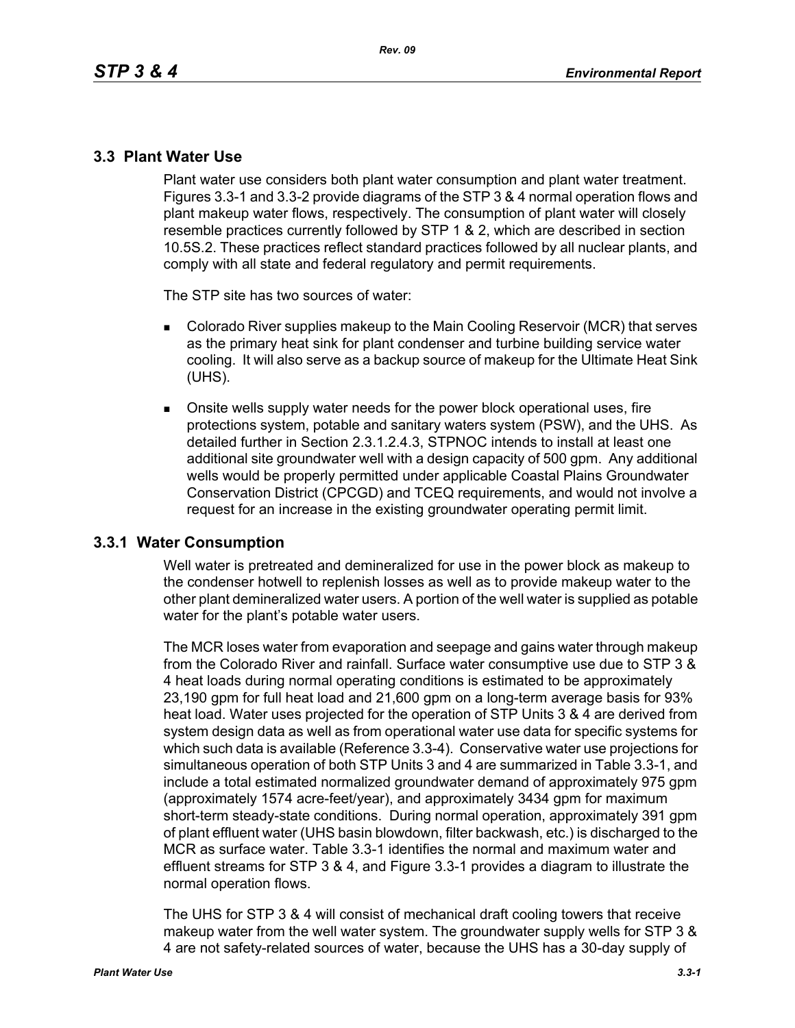### **3.3 Plant Water Use**

Plant water use considers both plant water consumption and plant water treatment. Figures 3.3-1 and 3.3-2 provide diagrams of the STP 3 & 4 normal operation flows and plant makeup water flows, respectively. The consumption of plant water will closely resemble practices currently followed by STP 1 & 2, which are described in section 10.5S.2. These practices reflect standard practices followed by all nuclear plants, and comply with all state and federal regulatory and permit requirements.

The STP site has two sources of water:

- **Colorado River supplies makeup to the Main Cooling Reservoir (MCR) that serves** as the primary heat sink for plant condenser and turbine building service water cooling. It will also serve as a backup source of makeup for the Ultimate Heat Sink (UHS).
- Onsite wells supply water needs for the power block operational uses, fire protections system, potable and sanitary waters system (PSW), and the UHS. As detailed further in Section 2.3.1.2.4.3, STPNOC intends to install at least one additional site groundwater well with a design capacity of 500 gpm. Any additional wells would be properly permitted under applicable Coastal Plains Groundwater Conservation District (CPCGD) and TCEQ requirements, and would not involve a request for an increase in the existing groundwater operating permit limit.

#### **3.3.1 Water Consumption**

Well water is pretreated and demineralized for use in the power block as makeup to the condenser hotwell to replenish losses as well as to provide makeup water to the other plant demineralized water users. A portion of the well water is supplied as potable water for the plant's potable water users.

The MCR loses water from evaporation and seepage and gains water through makeup from the Colorado River and rainfall. Surface water consumptive use due to STP 3 & 4 heat loads during normal operating conditions is estimated to be approximately 23,190 gpm for full heat load and 21,600 gpm on a long-term average basis for 93% heat load. Water uses projected for the operation of STP Units 3 & 4 are derived from system design data as well as from operational water use data for specific systems for which such data is available (Reference 3.3-4). Conservative water use projections for simultaneous operation of both STP Units 3 and 4 are summarized in Table 3.3-1, and include a total estimated normalized groundwater demand of approximately 975 gpm (approximately 1574 acre-feet/year), and approximately 3434 gpm for maximum short-term steady-state conditions. During normal operation, approximately 391 gpm of plant effluent water (UHS basin blowdown, filter backwash, etc.) is discharged to the MCR as surface water. Table 3.3-1 identifies the normal and maximum water and effluent streams for STP 3 & 4, and Figure 3.3-1 provides a diagram to illustrate the normal operation flows.

The UHS for STP 3 & 4 will consist of mechanical draft cooling towers that receive makeup water from the well water system. The groundwater supply wells for STP 3 & 4 are not safety-related sources of water, because the UHS has a 30-day supply of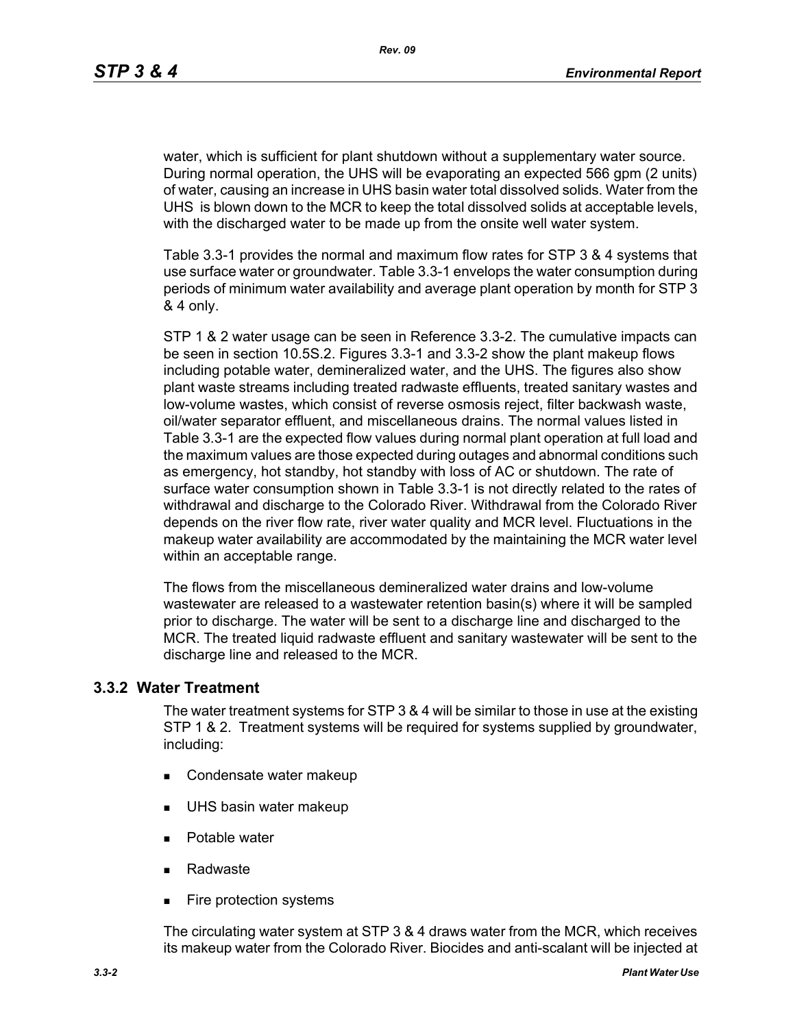water, which is sufficient for plant shutdown without a supplementary water source. During normal operation, the UHS will be evaporating an expected 566 gpm (2 units) of water, causing an increase in UHS basin water total dissolved solids. Water from the UHS is blown down to the MCR to keep the total dissolved solids at acceptable levels, with the discharged water to be made up from the onsite well water system.

Table 3.3-1 provides the normal and maximum flow rates for STP 3 & 4 systems that use surface water or groundwater. Table 3.3-1 envelops the water consumption during periods of minimum water availability and average plant operation by month for STP 3 & 4 only.

STP 1 & 2 water usage can be seen in Reference 3.3-2. The cumulative impacts can be seen in section 10.5S.2. Figures 3.3-1 and 3.3-2 show the plant makeup flows including potable water, demineralized water, and the UHS. The figures also show plant waste streams including treated radwaste effluents, treated sanitary wastes and low-volume wastes, which consist of reverse osmosis reject, filter backwash waste, oil/water separator effluent, and miscellaneous drains. The normal values listed in Table 3.3-1 are the expected flow values during normal plant operation at full load and the maximum values are those expected during outages and abnormal conditions such as emergency, hot standby, hot standby with loss of AC or shutdown. The rate of surface water consumption shown in Table 3.3-1 is not directly related to the rates of withdrawal and discharge to the Colorado River. Withdrawal from the Colorado River depends on the river flow rate, river water quality and MCR level. Fluctuations in the makeup water availability are accommodated by the maintaining the MCR water level within an acceptable range.

The flows from the miscellaneous demineralized water drains and low-volume wastewater are released to a wastewater retention basin(s) where it will be sampled prior to discharge. The water will be sent to a discharge line and discharged to the MCR. The treated liquid radwaste effluent and sanitary wastewater will be sent to the discharge line and released to the MCR.

#### **3.3.2 Water Treatment**

The water treatment systems for STP 3 & 4 will be similar to those in use at the existing STP 1 & 2. Treatment systems will be required for systems supplied by groundwater, including:

- Condensate water makeup
- **UHS basin water makeup**
- **Potable water**
- Radwaste
- **Fire protection systems**

The circulating water system at STP 3 & 4 draws water from the MCR, which receives its makeup water from the Colorado River. Biocides and anti-scalant will be injected at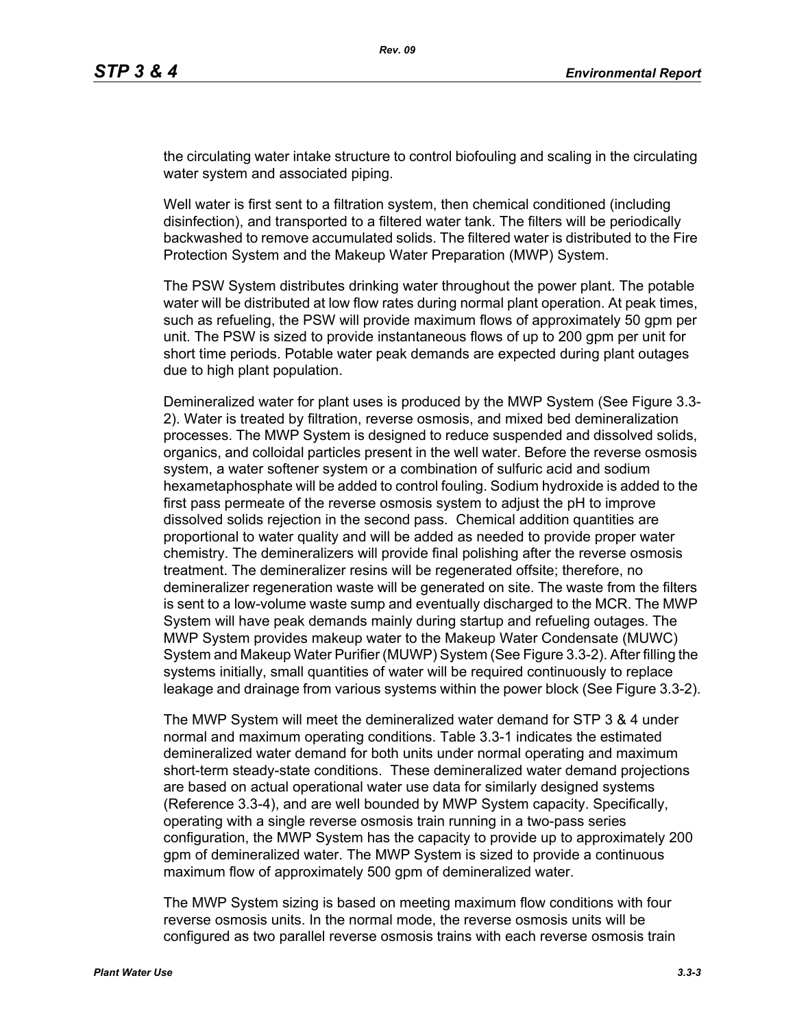the circulating water intake structure to control biofouling and scaling in the circulating water system and associated piping.

Well water is first sent to a filtration system, then chemical conditioned (including disinfection), and transported to a filtered water tank. The filters will be periodically backwashed to remove accumulated solids. The filtered water is distributed to the Fire Protection System and the Makeup Water Preparation (MWP) System.

The PSW System distributes drinking water throughout the power plant. The potable water will be distributed at low flow rates during normal plant operation. At peak times, such as refueling, the PSW will provide maximum flows of approximately 50 gpm per unit. The PSW is sized to provide instantaneous flows of up to 200 gpm per unit for short time periods. Potable water peak demands are expected during plant outages due to high plant population.

Demineralized water for plant uses is produced by the MWP System (See Figure 3.3- 2). Water is treated by filtration, reverse osmosis, and mixed bed demineralization processes. The MWP System is designed to reduce suspended and dissolved solids, organics, and colloidal particles present in the well water. Before the reverse osmosis system, a water softener system or a combination of sulfuric acid and sodium hexametaphosphate will be added to control fouling. Sodium hydroxide is added to the first pass permeate of the reverse osmosis system to adjust the pH to improve dissolved solids rejection in the second pass. Chemical addition quantities are proportional to water quality and will be added as needed to provide proper water chemistry. The demineralizers will provide final polishing after the reverse osmosis treatment. The demineralizer resins will be regenerated offsite; therefore, no demineralizer regeneration waste will be generated on site. The waste from the filters is sent to a low-volume waste sump and eventually discharged to the MCR. The MWP System will have peak demands mainly during startup and refueling outages. The MWP System provides makeup water to the Makeup Water Condensate (MUWC) System and Makeup Water Purifier (MUWP) System (See Figure 3.3-2). After filling the systems initially, small quantities of water will be required continuously to replace leakage and drainage from various systems within the power block (See Figure 3.3-2).

The MWP System will meet the demineralized water demand for STP 3 & 4 under normal and maximum operating conditions. Table 3.3-1 indicates the estimated demineralized water demand for both units under normal operating and maximum short-term steady-state conditions. These demineralized water demand projections are based on actual operational water use data for similarly designed systems (Reference 3.3-4), and are well bounded by MWP System capacity. Specifically, operating with a single reverse osmosis train running in a two-pass series configuration, the MWP System has the capacity to provide up to approximately 200 gpm of demineralized water. The MWP System is sized to provide a continuous maximum flow of approximately 500 gpm of demineralized water.

The MWP System sizing is based on meeting maximum flow conditions with four reverse osmosis units. In the normal mode, the reverse osmosis units will be configured as two parallel reverse osmosis trains with each reverse osmosis train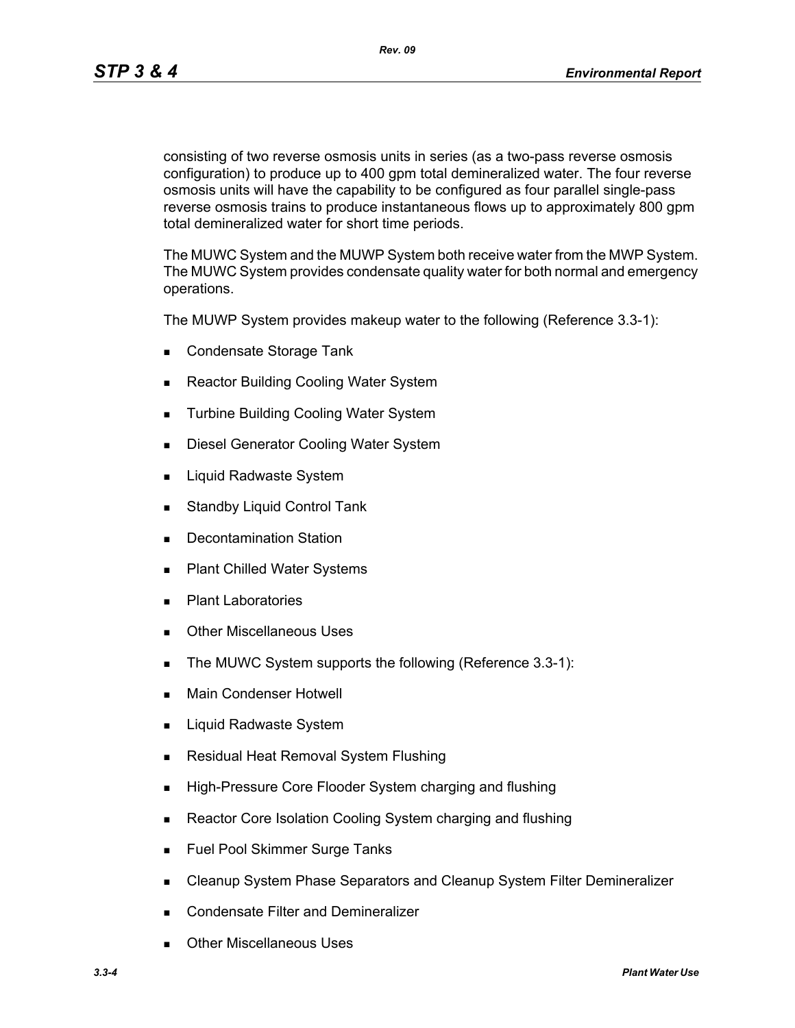*Rev. 09*

consisting of two reverse osmosis units in series (as a two-pass reverse osmosis configuration) to produce up to 400 gpm total demineralized water. The four reverse osmosis units will have the capability to be configured as four parallel single-pass reverse osmosis trains to produce instantaneous flows up to approximately 800 gpm total demineralized water for short time periods.

The MUWC System and the MUWP System both receive water from the MWP System. The MUWC System provides condensate quality water for both normal and emergency operations.

The MUWP System provides makeup water to the following (Reference 3.3-1):

- Condensate Storage Tank
- Reactor Building Cooling Water System
- **Turbine Building Cooling Water System**
- **Diesel Generator Cooling Water System**
- **Liquid Radwaste System**
- **Standby Liquid Control Tank**
- **Decontamination Station**
- Plant Chilled Water Systems
- **Plant Laboratories**
- **Duries** Other Miscellaneous Uses
- The MUWC System supports the following (Reference 3.3-1):
- **Main Condenser Hotwell**
- Liquid Radwaste System
- **Residual Heat Removal System Flushing**
- **High-Pressure Core Flooder System charging and flushing**
- Reactor Core Isolation Cooling System charging and flushing
- **Fuel Pool Skimmer Surge Tanks**
- **EXEC** Cleanup System Phase Separators and Cleanup System Filter Demineralizer
- **Condensate Filter and Demineralizer**
- Other Miscellaneous Uses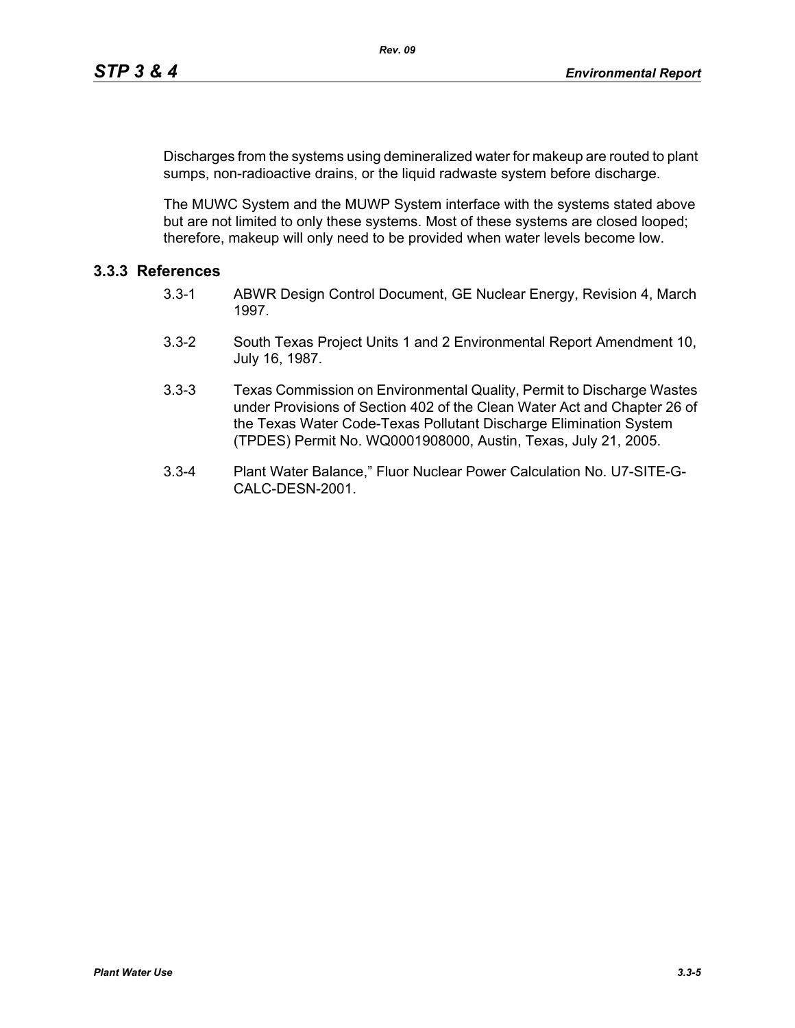Discharges from the systems using demineralized water for makeup are routed to plant sumps, non-radioactive drains, or the liquid radwaste system before discharge.

The MUWC System and the MUWP System interface with the systems stated above but are not limited to only these systems. Most of these systems are closed looped; therefore, makeup will only need to be provided when water levels become low.

# **3.3.3 References**

- 3.3-1 ABWR Design Control Document, GE Nuclear Energy, Revision 4, March 1997.
- 3.3-2 South Texas Project Units 1 and 2 Environmental Report Amendment 10, July 16, 1987.
- 3.3-3 Texas Commission on Environmental Quality, Permit to Discharge Wastes under Provisions of Section 402 of the Clean Water Act and Chapter 26 of the Texas Water Code-Texas Pollutant Discharge Elimination System (TPDES) Permit No. WQ0001908000, Austin, Texas, July 21, 2005.
- 3.3-4 Plant Water Balance," Fluor Nuclear Power Calculation No. U7-SITE-G-CALC-DESN-2001.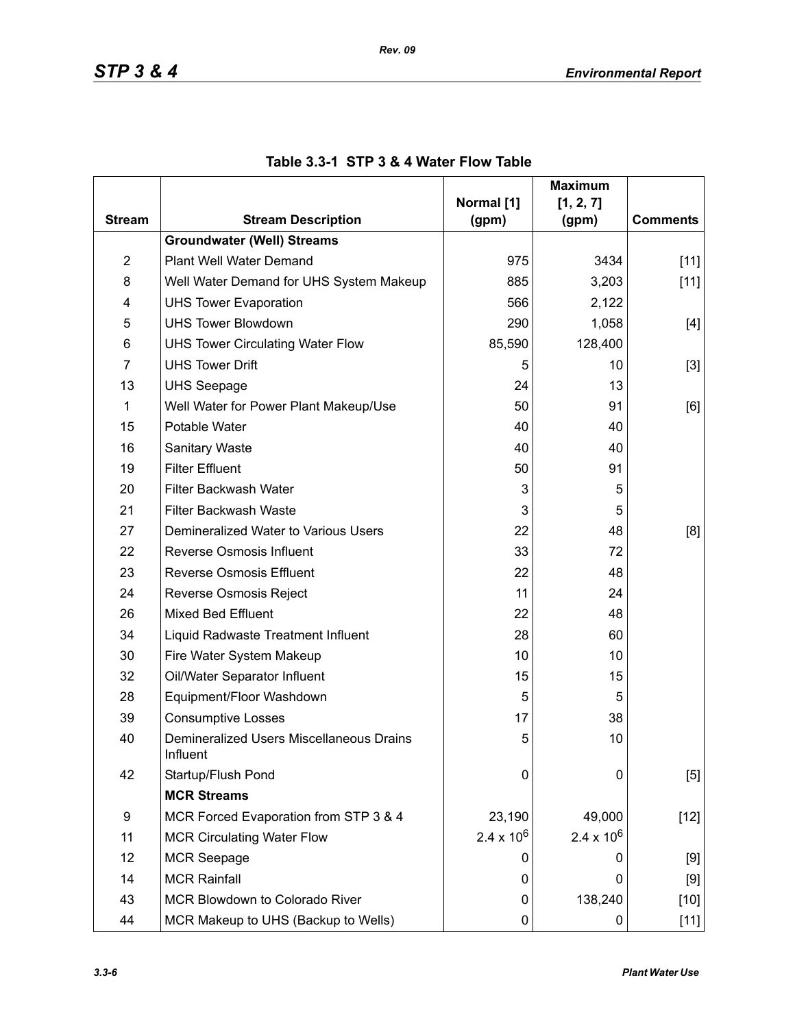|                |                                                                   |                     | <b>Maximum</b>      |                 |  |
|----------------|-------------------------------------------------------------------|---------------------|---------------------|-----------------|--|
| <b>Stream</b>  | <b>Stream Description</b>                                         | Normal [1]          | [1, 2, 7]           | <b>Comments</b> |  |
|                | <b>Groundwater (Well) Streams</b>                                 | (gpm)               | (gpm)               |                 |  |
| $\overline{2}$ | Plant Well Water Demand                                           | 975                 | 3434                |                 |  |
| 8              |                                                                   | 885                 |                     | $[11]$          |  |
|                | Well Water Demand for UHS System Makeup                           |                     | 3,203               | $[11]$          |  |
| 4<br>5         | <b>UHS Tower Evaporation</b><br><b>UHS Tower Blowdown</b>         | 566                 | 2,122               |                 |  |
| 6              |                                                                   | 290<br>85,590       | 1,058<br>128,400    | [4]             |  |
| $\overline{7}$ | <b>UHS Tower Circulating Water Flow</b><br><b>UHS Tower Drift</b> |                     |                     |                 |  |
|                |                                                                   | 5                   | 10                  | $[3]$           |  |
| 13             | <b>UHS Seepage</b>                                                | 24<br>50            |                     | 13              |  |
| 1              | Well Water for Power Plant Makeup/Use                             |                     | 91                  | [6]             |  |
| 15             | Potable Water                                                     | 40                  | 40                  |                 |  |
| 16             | <b>Sanitary Waste</b>                                             | 40                  | 40                  |                 |  |
| 19             | <b>Filter Effluent</b>                                            | 50                  | 91                  |                 |  |
| 20             | Filter Backwash Water                                             | 3                   | 5                   |                 |  |
| 21             | Filter Backwash Waste                                             | 3                   | 5                   |                 |  |
| 27             | Demineralized Water to Various Users                              | 22                  | 48                  | [8]             |  |
| 22             | Reverse Osmosis Influent                                          | 33                  | 72                  |                 |  |
| 23             | <b>Reverse Osmosis Effluent</b>                                   | 22                  | 48                  |                 |  |
| 24             | Reverse Osmosis Reject                                            | 11                  | 24                  |                 |  |
| 26             | <b>Mixed Bed Effluent</b>                                         | 22                  | 48                  |                 |  |
| 34             | Liquid Radwaste Treatment Influent                                | 28                  | 60                  |                 |  |
| 30             | Fire Water System Makeup                                          | 10                  | 10                  |                 |  |
| 32             | Oil/Water Separator Influent                                      | 15                  | 15                  |                 |  |
| 28             | Equipment/Floor Washdown                                          | 5                   | 5                   |                 |  |
| 39             | <b>Consumptive Losses</b>                                         | 17                  | 38                  |                 |  |
| 40             | Demineralized Users Miscellaneous Drains<br>Influent              | 5                   | 10                  |                 |  |
| 42             | Startup/Flush Pond                                                | 0                   | 0                   | [5]             |  |
|                | <b>MCR Streams</b>                                                |                     |                     |                 |  |
| 9              | MCR Forced Evaporation from STP 3 & 4                             | 23,190              | 49,000              | $[12]$          |  |
| 11             | <b>MCR Circulating Water Flow</b>                                 | $2.4 \times 10^{6}$ | $2.4 \times 10^{6}$ |                 |  |
| 12             | <b>MCR Seepage</b>                                                | 0                   | 0                   | [9]             |  |
| 14             | <b>MCR Rainfall</b>                                               | 0                   | 0                   | [9]             |  |
| 43             | MCR Blowdown to Colorado River                                    | 0                   | 138,240             | $[10]$          |  |
| 44             | MCR Makeup to UHS (Backup to Wells)                               | 0                   | 0                   | $[11]$          |  |

## **Table 3.3-1 STP 3 & 4 Water Flow Table**

*Rev. 09*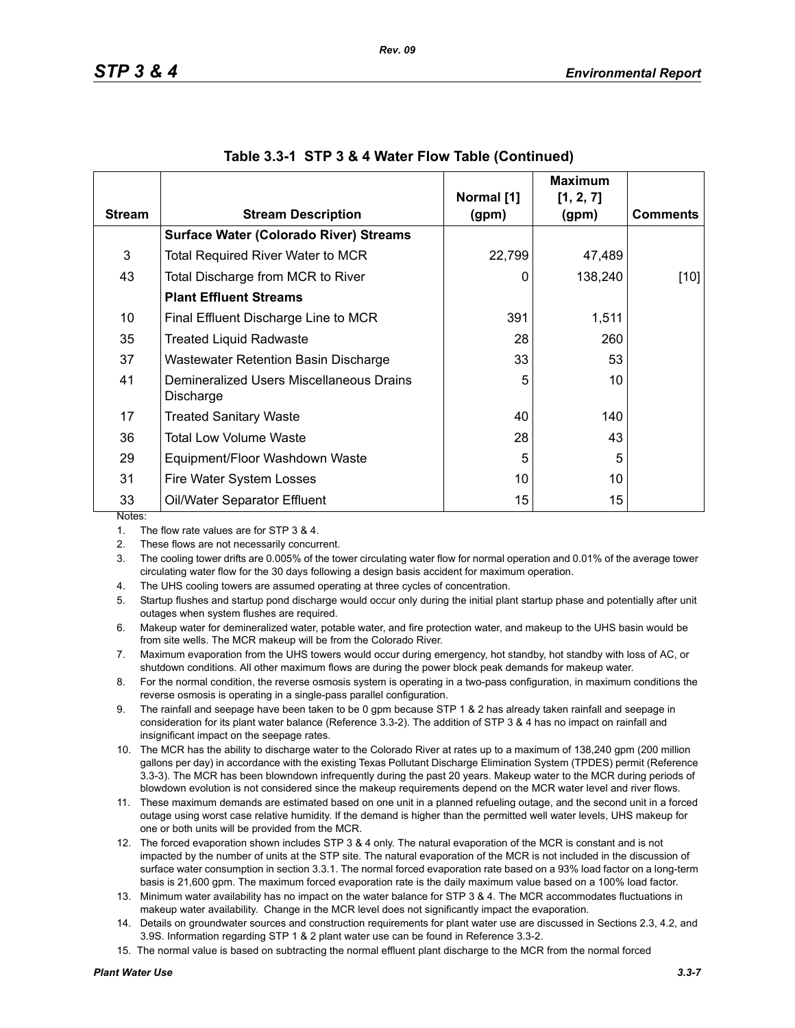|               |                                                       |                     | <b>Maximum</b>     |                 |
|---------------|-------------------------------------------------------|---------------------|--------------------|-----------------|
| <b>Stream</b> | <b>Stream Description</b>                             | Normal [1]<br>(gpm) | [1, 2, 7]<br>(gpm) | <b>Comments</b> |
|               | <b>Surface Water (Colorado River) Streams</b>         |                     |                    |                 |
| 3             | <b>Total Required River Water to MCR</b>              | 22,799              | 47,489             |                 |
| 43            | Total Discharge from MCR to River                     | 0                   | 138,240            | [10]            |
|               | <b>Plant Effluent Streams</b>                         |                     |                    |                 |
| 10            | Final Effluent Discharge Line to MCR                  | 391                 | 1,511              |                 |
| 35            | <b>Treated Liquid Radwaste</b>                        | 28                  | 260                |                 |
| 37            | Wastewater Retention Basin Discharge                  | 33                  | 53                 |                 |
| 41            | Demineralized Users Miscellaneous Drains<br>Discharge | 5                   | 10                 |                 |
| 17            | <b>Treated Sanitary Waste</b>                         | 40                  | 140                |                 |
| 36            | Total Low Volume Waste                                | 28                  | 43                 |                 |
| 29            | Equipment/Floor Washdown Waste                        | 5                   | 5                  |                 |
| 31            | Fire Water System Losses                              | 10                  | 10                 |                 |
| 33            | Oil/Water Separator Effluent                          | 15                  | 15                 |                 |
| Notes:        |                                                       |                     |                    |                 |

|  |  | Table 3.3-1 STP 3 & 4 Water Flow Table (Continued) |  |  |
|--|--|----------------------------------------------------|--|--|
|--|--|----------------------------------------------------|--|--|

1. The flow rate values are for STP 3 & 4.

2. These flows are not necessarily concurrent.

3. The cooling tower drifts are 0.005% of the tower circulating water flow for normal operation and 0.01% of the average tower circulating water flow for the 30 days following a design basis accident for maximum operation.

4. The UHS cooling towers are assumed operating at three cycles of concentration.

5. Startup flushes and startup pond discharge would occur only during the initial plant startup phase and potentially after unit outages when system flushes are required.

6. Makeup water for demineralized water, potable water, and fire protection water, and makeup to the UHS basin would be from site wells. The MCR makeup will be from the Colorado River.

7. Maximum evaporation from the UHS towers would occur during emergency, hot standby, hot standby with loss of AC, or shutdown conditions. All other maximum flows are during the power block peak demands for makeup water.

8. For the normal condition, the reverse osmosis system is operating in a two-pass configuration, in maximum conditions the reverse osmosis is operating in a single-pass parallel configuration.

9. The rainfall and seepage have been taken to be 0 gpm because STP 1 & 2 has already taken rainfall and seepage in consideration for its plant water balance (Reference 3.3-2). The addition of STP 3 & 4 has no impact on rainfall and insignificant impact on the seepage rates.

10. The MCR has the ability to discharge water to the Colorado River at rates up to a maximum of 138,240 gpm (200 million gallons per day) in accordance with the existing Texas Pollutant Discharge Elimination System (TPDES) permit (Reference 3.3-3). The MCR has been blowndown infrequently during the past 20 years. Makeup water to the MCR during periods of blowdown evolution is not considered since the makeup requirements depend on the MCR water level and river flows.

11. These maximum demands are estimated based on one unit in a planned refueling outage, and the second unit in a forced outage using worst case relative humidity. If the demand is higher than the permitted well water levels, UHS makeup for one or both units will be provided from the MCR.

- 12. The forced evaporation shown includes STP 3 & 4 only. The natural evaporation of the MCR is constant and is not impacted by the number of units at the STP site. The natural evaporation of the MCR is not included in the discussion of surface water consumption in section 3.3.1. The normal forced evaporation rate based on a 93% load factor on a long-term basis is 21,600 gpm. The maximum forced evaporation rate is the daily maximum value based on a 100% load factor.
- 13. Minimum water availability has no impact on the water balance for STP 3 & 4. The MCR accommodates fluctuations in makeup water availability. Change in the MCR level does not significantly impact the evaporation.
- 14. Details on groundwater sources and construction requirements for plant water use are discussed in Sections 2.3, 4.2, and 3.9S. Information regarding STP 1 & 2 plant water use can be found in Reference 3.3-2.
- 15. The normal value is based on subtracting the normal effluent plant discharge to the MCR from the normal forced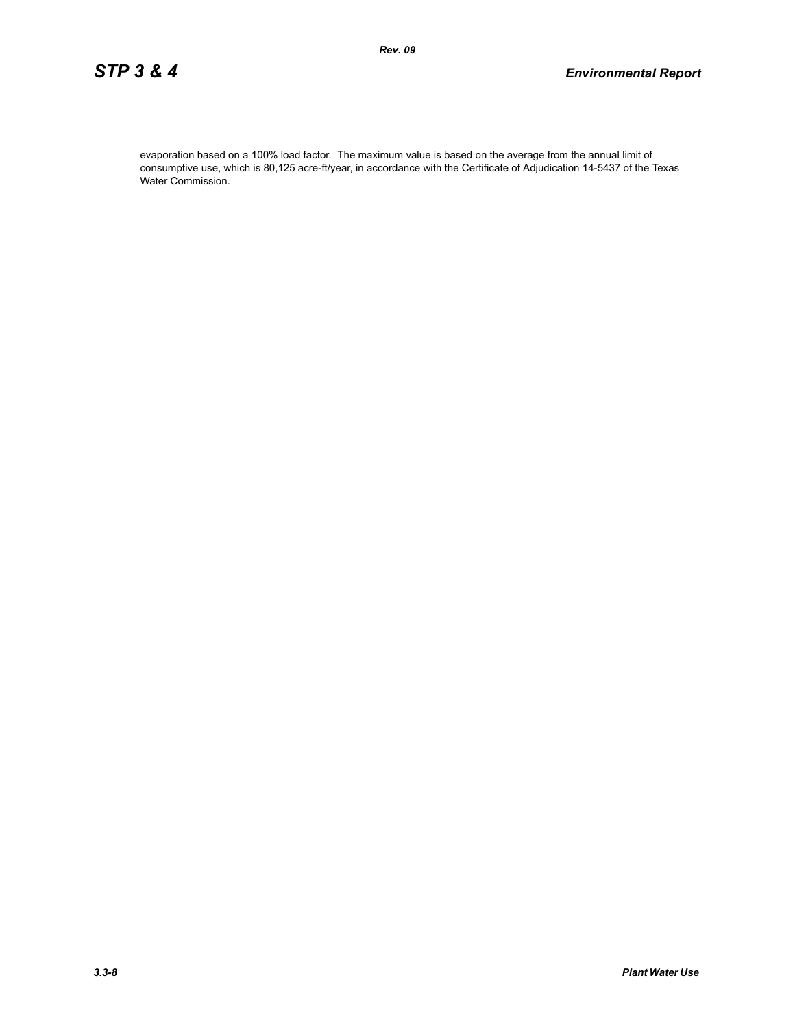evaporation based on a 100% load factor. The maximum value is based on the average from the annual limit of consumptive use, which is 80,125 acre-ft/year, in accordance with the Certificate of Adjudication 14-5437 of the Texas Water Commission.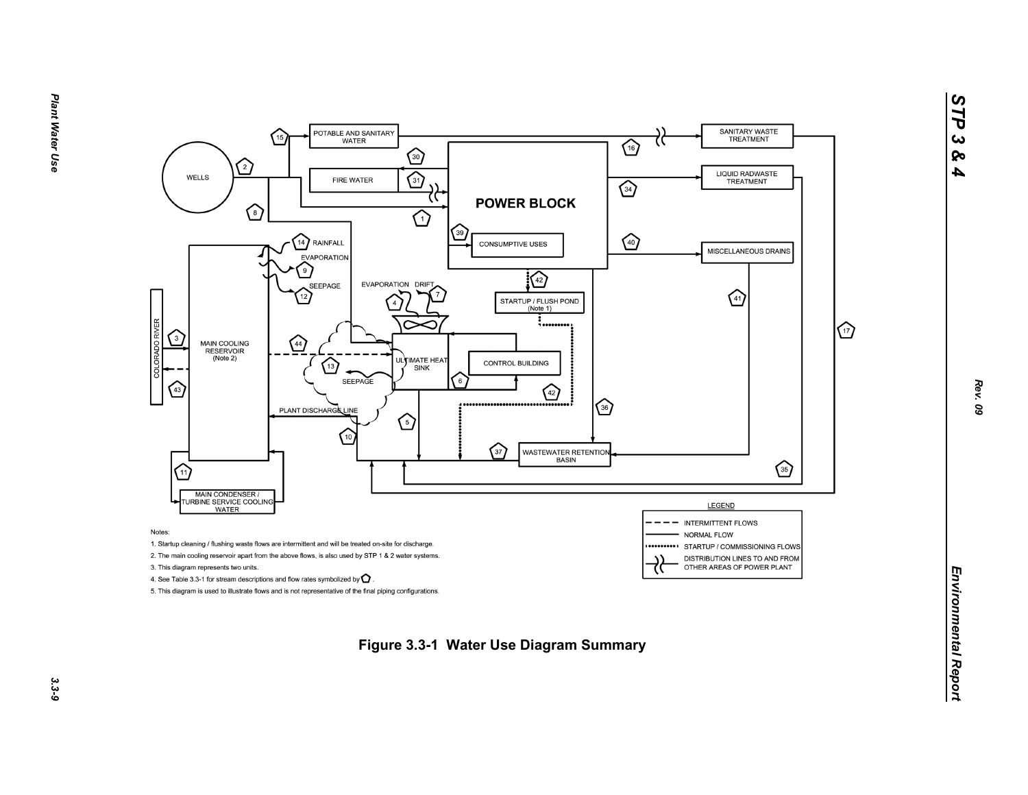

*STP 3 & 4*